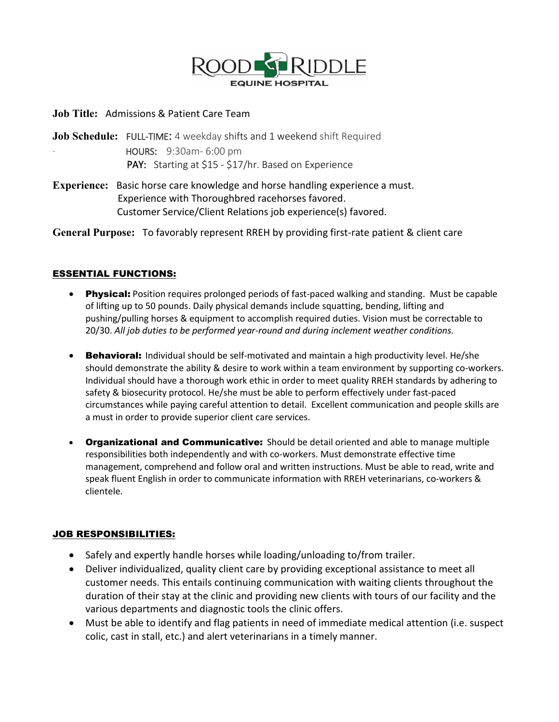

#### **Job Title:** Admissions & Patient Care Team

**Job Schedule:** FULL-TIME: 4 weekday shifts and 1 weekend shift Required · HOURS: 9:30am- 6:00 pm PAY: Starting at \$15 - \$17/hr. Based on Experience

**Experience:** Basic horse care knowledge and horse handling experience a must. Experience with Thoroughbred racehorses favored. Customer Service/Client Relations job experience(s) favored.

**General Purpose:** To favorably represent RREH by providing first-rate patient & client care

### ESSENTIAL FUNCTIONS:

- Physical: Position requires prolonged periods of fast-paced walking and standing. Must be capable of lifting up to 50 pounds. Daily physical demands include squatting, bending, lifting and pushing/pulling horses & equipment to accomplish required duties. Vision must be correctable to 20/30. *All job duties to be performed year-round and during inclement weather conditions.*
- Behavioral: Individual should be self-motivated and maintain a high productivity level. He/she should demonstrate the ability & desire to work within a team environment by supporting co-workers. Individual should have a thorough work ethic in order to meet quality RREH standards by adhering to safety & biosecurity protocol. He/she must be able to perform effectively under fast-paced circumstances while paying careful attention to detail. Excellent communication and people skills are a must in order to provide superior client care services.
- Organizational and Communicative: Should be detail oriented and able to manage multiple responsibilities both independently and with co-workers. Must demonstrate effective time management, comprehend and follow oral and written instructions. Must be able to read, write and speak fluent English in order to communicate information with RREH veterinarians, co-workers & clientele.

### JOB RESPONSIBILITIES:

- Safely and expertly handle horses while loading/unloading to/from trailer.
- Deliver individualized, quality client care by providing exceptional assistance to meet all customer needs. This entails continuing communication with waiting clients throughout the duration of their stay at the clinic and providing new clients with tours of our facility and the various departments and diagnostic tools the clinic offers.
- Must be able to identify and flag patients in need of immediate medical attention (i.e. suspect colic, cast in stall, etc.) and alert veterinarians in a timely manner.